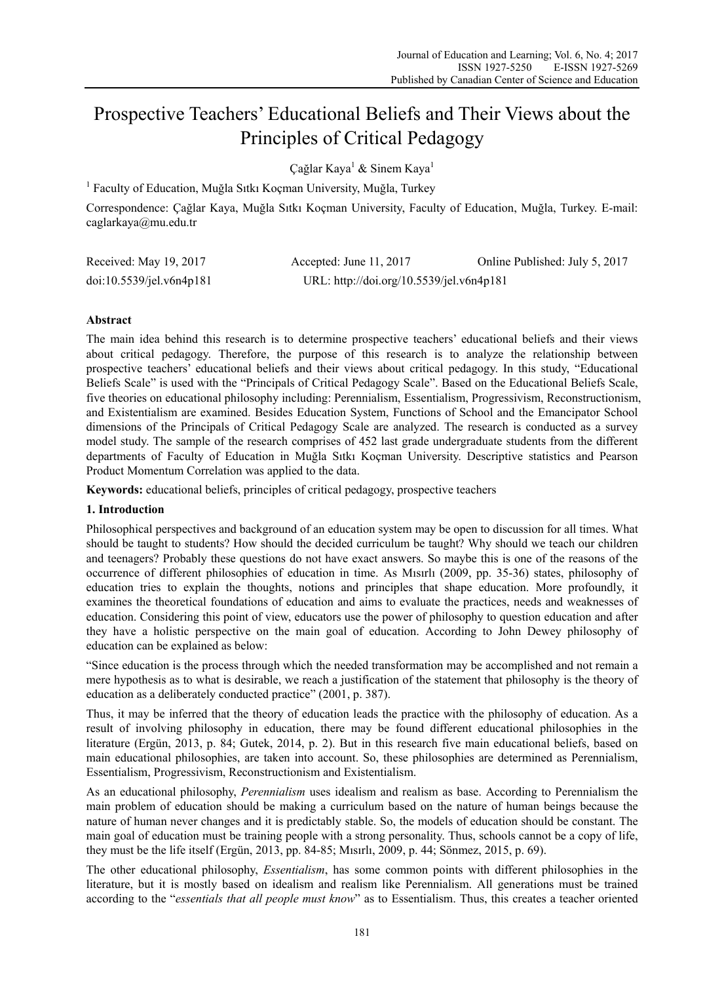# Prospective Teachers' Educational Beliefs and Their Views about the Principles of Critical Pedagogy

Çağlar Kaya<sup>1</sup> & Sinem Kaya<sup>1</sup>

<sup>1</sup> Faculty of Education, Muğla Sıtkı Koçman University, Muğla, Turkey

Correspondence: Çağlar Kaya, Muğla Sıtkı Koçman University, Faculty of Education, Muğla, Turkey. E-mail: caglarkaya@mu.edu.tr

| Received: May 19, 2017   | Accepted: June 11, $2017$                | Online Published: July 5, 2017 |
|--------------------------|------------------------------------------|--------------------------------|
| doi:10.5539/jel.v6n4p181 | URL: http://doi.org/10.5539/jel.v6n4p181 |                                |

# **Abstract**

The main idea behind this research is to determine prospective teachers' educational beliefs and their views about critical pedagogy. Therefore, the purpose of this research is to analyze the relationship between prospective teachers' educational beliefs and their views about critical pedagogy. In this study, "Educational Beliefs Scale" is used with the "Principals of Critical Pedagogy Scale". Based on the Educational Beliefs Scale, five theories on educational philosophy including: Perennialism, Essentialism, Progressivism, Reconstructionism, and Existentialism are examined. Besides Education System, Functions of School and the Emancipator School dimensions of the Principals of Critical Pedagogy Scale are analyzed. The research is conducted as a survey model study. The sample of the research comprises of 452 last grade undergraduate students from the different departments of Faculty of Education in Muğla Sıtkı Koçman University. Descriptive statistics and Pearson Product Momentum Correlation was applied to the data.

**Keywords:** educational beliefs, principles of critical pedagogy, prospective teachers

## **1. Introduction**

Philosophical perspectives and background of an education system may be open to discussion for all times. What should be taught to students? How should the decided curriculum be taught? Why should we teach our children and teenagers? Probably these questions do not have exact answers. So maybe this is one of the reasons of the occurrence of different philosophies of education in time. As Mısırlı (2009, pp. 35-36) states, philosophy of education tries to explain the thoughts, notions and principles that shape education. More profoundly, it examines the theoretical foundations of education and aims to evaluate the practices, needs and weaknesses of education. Considering this point of view, educators use the power of philosophy to question education and after they have a holistic perspective on the main goal of education. According to John Dewey philosophy of education can be explained as below:

"Since education is the process through which the needed transformation may be accomplished and not remain a mere hypothesis as to what is desirable, we reach a justification of the statement that philosophy is the theory of education as a deliberately conducted practice" (2001, p. 387).

Thus, it may be inferred that the theory of education leads the practice with the philosophy of education. As a result of involving philosophy in education, there may be found different educational philosophies in the literature (Ergün, 2013, p. 84; Gutek, 2014, p. 2). But in this research five main educational beliefs, based on main educational philosophies, are taken into account. So, these philosophies are determined as Perennialism, Essentialism, Progressivism, Reconstructionism and Existentialism.

As an educational philosophy, *Perennialism* uses idealism and realism as base. According to Perennialism the main problem of education should be making a curriculum based on the nature of human beings because the nature of human never changes and it is predictably stable. So, the models of education should be constant. The main goal of education must be training people with a strong personality. Thus, schools cannot be a copy of life, they must be the life itself (Ergün, 2013, pp. 84-85; Mısırlı, 2009, p. 44; Sönmez, 2015, p. 69).

The other educational philosophy, *Essentialism*, has some common points with different philosophies in the literature, but it is mostly based on idealism and realism like Perennialism. All generations must be trained according to the "*essentials that all people must know*" as to Essentialism. Thus, this creates a teacher oriented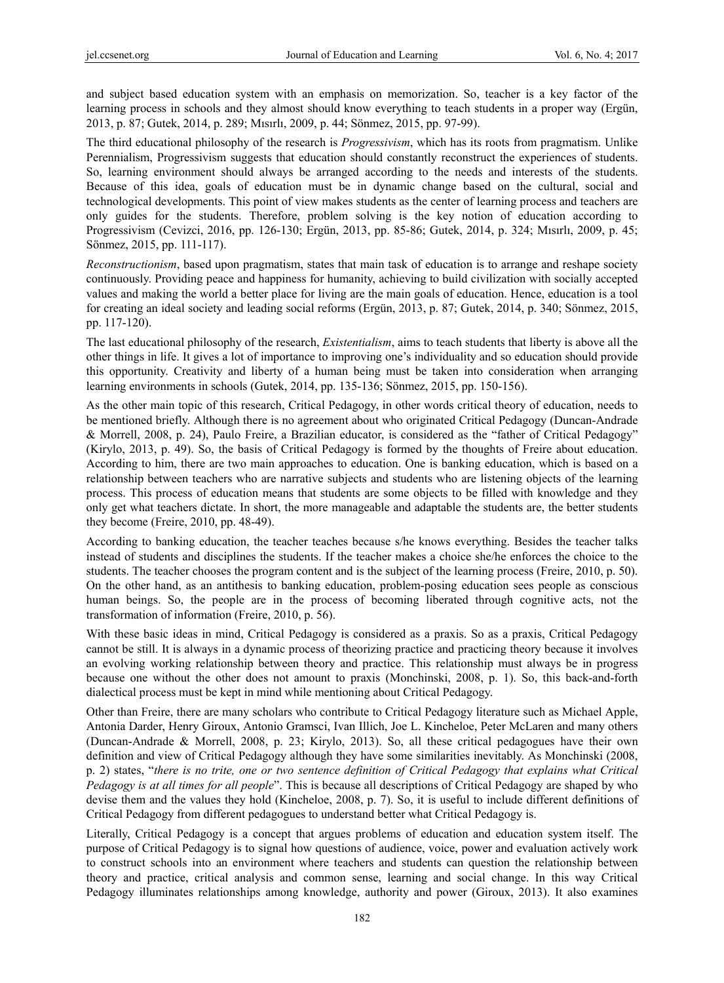and subject based education system with an emphasis on memorization. So, teacher is a key factor of the learning process in schools and they almost should know everything to teach students in a proper way (Ergün, 2013, p. 87; Gutek, 2014, p. 289; Mısırlı, 2009, p. 44; Sönmez, 2015, pp. 97-99).

The third educational philosophy of the research is *Progressivism*, which has its roots from pragmatism. Unlike Perennialism, Progressivism suggests that education should constantly reconstruct the experiences of students. So, learning environment should always be arranged according to the needs and interests of the students. Because of this idea, goals of education must be in dynamic change based on the cultural, social and technological developments. This point of view makes students as the center of learning process and teachers are only guides for the students. Therefore, problem solving is the key notion of education according to Progressivism (Cevizci, 2016, pp. 126-130; Ergün, 2013, pp. 85-86; Gutek, 2014, p. 324; Mısırlı, 2009, p. 45; Sönmez, 2015, pp. 111-117).

*Reconstructionism*, based upon pragmatism, states that main task of education is to arrange and reshape society continuously. Providing peace and happiness for humanity, achieving to build civilization with socially accepted values and making the world a better place for living are the main goals of education. Hence, education is a tool for creating an ideal society and leading social reforms (Ergün, 2013, p. 87; Gutek, 2014, p. 340; Sönmez, 2015, pp. 117-120).

The last educational philosophy of the research, *Existentialism*, aims to teach students that liberty is above all the other things in life. It gives a lot of importance to improving one's individuality and so education should provide this opportunity. Creativity and liberty of a human being must be taken into consideration when arranging learning environments in schools (Gutek, 2014, pp. 135-136; Sönmez, 2015, pp. 150-156).

As the other main topic of this research, Critical Pedagogy, in other words critical theory of education, needs to be mentioned briefly. Although there is no agreement about who originated Critical Pedagogy (Duncan-Andrade & Morrell, 2008, p. 24), Paulo Freire, a Brazilian educator, is considered as the "father of Critical Pedagogy" (Kirylo, 2013, p. 49). So, the basis of Critical Pedagogy is formed by the thoughts of Freire about education. According to him, there are two main approaches to education. One is banking education, which is based on a relationship between teachers who are narrative subjects and students who are listening objects of the learning process. This process of education means that students are some objects to be filled with knowledge and they only get what teachers dictate. In short, the more manageable and adaptable the students are, the better students they become (Freire, 2010, pp. 48-49).

According to banking education, the teacher teaches because s/he knows everything. Besides the teacher talks instead of students and disciplines the students. If the teacher makes a choice she/he enforces the choice to the students. The teacher chooses the program content and is the subject of the learning process (Freire, 2010, p. 50). On the other hand, as an antithesis to banking education, problem-posing education sees people as conscious human beings. So, the people are in the process of becoming liberated through cognitive acts, not the transformation of information (Freire, 2010, p. 56).

With these basic ideas in mind, Critical Pedagogy is considered as a praxis. So as a praxis, Critical Pedagogy cannot be still. It is always in a dynamic process of theorizing practice and practicing theory because it involves an evolving working relationship between theory and practice. This relationship must always be in progress because one without the other does not amount to praxis (Monchinski, 2008, p. 1). So, this back-and-forth dialectical process must be kept in mind while mentioning about Critical Pedagogy.

Other than Freire, there are many scholars who contribute to Critical Pedagogy literature such as Michael Apple, Antonia Darder, Henry Giroux, Antonio Gramsci, Ivan Illich, Joe L. Kincheloe, Peter McLaren and many others (Duncan-Andrade & Morrell, 2008, p. 23; Kirylo, 2013). So, all these critical pedagogues have their own definition and view of Critical Pedagogy although they have some similarities inevitably. As Monchinski (2008, p. 2) states, "*there is no trite, one or two sentence definition of Critical Pedagogy that explains what Critical Pedagogy is at all times for all people*". This is because all descriptions of Critical Pedagogy are shaped by who devise them and the values they hold (Kincheloe, 2008, p. 7). So, it is useful to include different definitions of Critical Pedagogy from different pedagogues to understand better what Critical Pedagogy is.

Literally, Critical Pedagogy is a concept that argues problems of education and education system itself. The purpose of Critical Pedagogy is to signal how questions of audience, voice, power and evaluation actively work to construct schools into an environment where teachers and students can question the relationship between theory and practice, critical analysis and common sense, learning and social change. In this way Critical Pedagogy illuminates relationships among knowledge, authority and power (Giroux, 2013). It also examines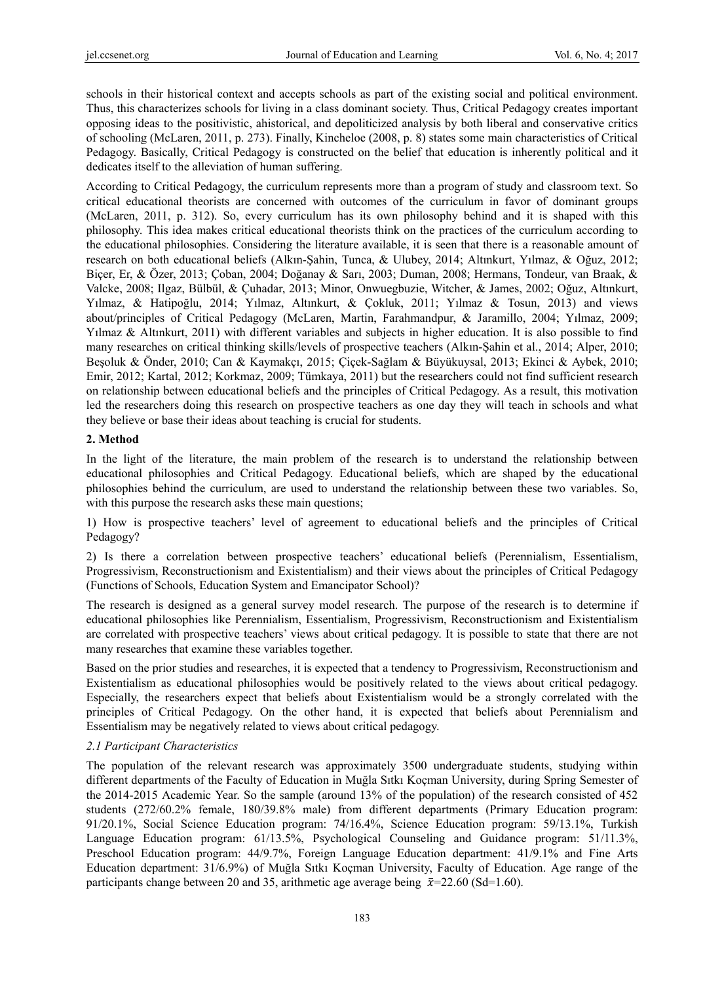schools in their historical context and accepts schools as part of the existing social and political environment. Thus, this characterizes schools for living in a class dominant society. Thus, Critical Pedagogy creates important opposing ideas to the positivistic, ahistorical, and depoliticized analysis by both liberal and conservative critics of schooling (McLaren, 2011, p. 273). Finally, Kincheloe (2008, p. 8) states some main characteristics of Critical Pedagogy. Basically, Critical Pedagogy is constructed on the belief that education is inherently political and it dedicates itself to the alleviation of human suffering.

According to Critical Pedagogy, the curriculum represents more than a program of study and classroom text. So critical educational theorists are concerned with outcomes of the curriculum in favor of dominant groups (McLaren, 2011, p. 312). So, every curriculum has its own philosophy behind and it is shaped with this philosophy. This idea makes critical educational theorists think on the practices of the curriculum according to the educational philosophies. Considering the literature available, it is seen that there is a reasonable amount of research on both educational beliefs (Alkın-Şahin, Tunca, & Ulubey, 2014; Altınkurt, Yılmaz, & Oğuz, 2012; Biçer, Er, & Özer, 2013; Çoban, 2004; Doğanay & Sarı, 2003; Duman, 2008; Hermans, Tondeur, van Braak, & Valcke, 2008; Ilgaz, Bülbül, & Çuhadar, 2013; Minor, Onwuegbuzie, Witcher, & James, 2002; Oğuz, Altınkurt, Yılmaz, & Hatipoğlu, 2014; Yılmaz, Altınkurt, & Çokluk, 2011; Yılmaz & Tosun, 2013) and views about/principles of Critical Pedagogy (McLaren, Martin, Farahmandpur, & Jaramillo, 2004; Yılmaz, 2009; Yilmaz & Altınkurt, 2011) with different variables and subjects in higher education. It is also possible to find many researches on critical thinking skills/levels of prospective teachers (Alkın-Şahin et al., 2014; Alper, 2010; Beşoluk & Önder, 2010; Can & Kaymakçı, 2015; Çiçek-Sağlam & Büyükuysal, 2013; Ekinci & Aybek, 2010; Emir, 2012; Kartal, 2012; Korkmaz, 2009; Tümkaya, 2011) but the researchers could not find sufficient research on relationship between educational beliefs and the principles of Critical Pedagogy. As a result, this motivation led the researchers doing this research on prospective teachers as one day they will teach in schools and what they believe or base their ideas about teaching is crucial for students.

## **2. Method**

In the light of the literature, the main problem of the research is to understand the relationship between educational philosophies and Critical Pedagogy. Educational beliefs, which are shaped by the educational philosophies behind the curriculum, are used to understand the relationship between these two variables. So, with this purpose the research asks these main questions;

1) How is prospective teachers' level of agreement to educational beliefs and the principles of Critical Pedagogy?

2) Is there a correlation between prospective teachers' educational beliefs (Perennialism, Essentialism, Progressivism, Reconstructionism and Existentialism) and their views about the principles of Critical Pedagogy (Functions of Schools, Education System and Emancipator School)?

The research is designed as a general survey model research. The purpose of the research is to determine if educational philosophies like Perennialism, Essentialism, Progressivism, Reconstructionism and Existentialism are correlated with prospective teachers' views about critical pedagogy. It is possible to state that there are not many researches that examine these variables together.

Based on the prior studies and researches, it is expected that a tendency to Progressivism, Reconstructionism and Existentialism as educational philosophies would be positively related to the views about critical pedagogy. Especially, the researchers expect that beliefs about Existentialism would be a strongly correlated with the principles of Critical Pedagogy. On the other hand, it is expected that beliefs about Perennialism and Essentialism may be negatively related to views about critical pedagogy.

# *2.1 Participant Characteristics*

The population of the relevant research was approximately 3500 undergraduate students, studying within different departments of the Faculty of Education in Muğla Sıtkı Koçman University, during Spring Semester of the 2014-2015 Academic Year. So the sample (around 13% of the population) of the research consisted of 452 students (272/60.2% female, 180/39.8% male) from different departments (Primary Education program: 91/20.1%, Social Science Education program: 74/16.4%, Science Education program: 59/13.1%, Turkish Language Education program: 61/13.5%, Psychological Counseling and Guidance program: 51/11.3%, Preschool Education program: 44/9.7%, Foreign Language Education department: 41/9.1% and Fine Arts Education department: 31/6.9%) of Muğla Sıtkı Koçman University, Faculty of Education. Age range of the participants change between 20 and 35, arithmetic age average being  $\bar{x}=22.60$  (Sd=1.60).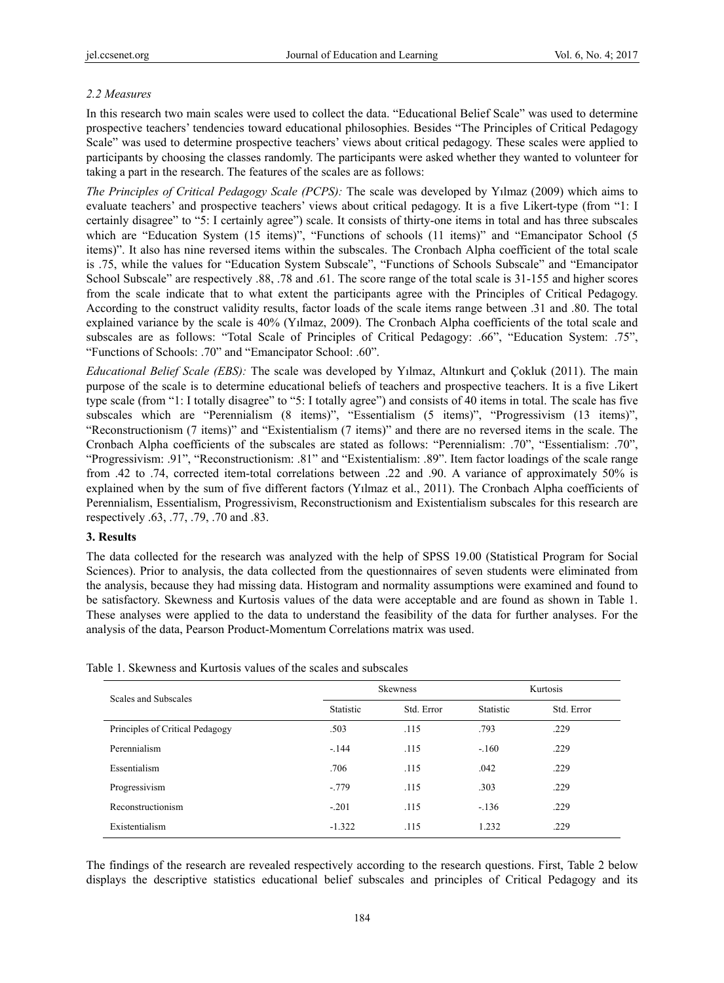# *2.2 Measures*

In this research two main scales were used to collect the data. "Educational Belief Scale" was used to determine prospective teachers' tendencies toward educational philosophies. Besides "The Principles of Critical Pedagogy Scale" was used to determine prospective teachers' views about critical pedagogy. These scales were applied to participants by choosing the classes randomly. The participants were asked whether they wanted to volunteer for taking a part in the research. The features of the scales are as follows:

*The Principles of Critical Pedagogy Scale (PCPS):* The scale was developed by Yılmaz (2009) which aims to evaluate teachers' and prospective teachers' views about critical pedagogy. It is a five Likert-type (from "1: I certainly disagree" to "5: I certainly agree") scale. It consists of thirty-one items in total and has three subscales which are "Education System (15 items)", "Functions of schools (11 items)" and "Emancipator School (5 items)". It also has nine reversed items within the subscales. The Cronbach Alpha coefficient of the total scale is .75, while the values for "Education System Subscale", "Functions of Schools Subscale" and "Emancipator School Subscale" are respectively .88, .78 and .61. The score range of the total scale is 31-155 and higher scores from the scale indicate that to what extent the participants agree with the Principles of Critical Pedagogy. According to the construct validity results, factor loads of the scale items range between .31 and .80. The total explained variance by the scale is 40% (Yılmaz, 2009). The Cronbach Alpha coefficients of the total scale and subscales are as follows: "Total Scale of Principles of Critical Pedagogy: .66", "Education System: .75", "Functions of Schools: .70" and "Emancipator School: .60".

*Educational Belief Scale (EBS):* The scale was developed by Yılmaz, Altınkurt and Çokluk (2011). The main purpose of the scale is to determine educational beliefs of teachers and prospective teachers. It is a five Likert type scale (from "1: I totally disagree" to "5: I totally agree") and consists of 40 items in total. The scale has five subscales which are "Perennialism (8 items)", "Essentialism (5 items)", "Progressivism (13 items)", "Reconstructionism (7 items)" and "Existentialism (7 items)" and there are no reversed items in the scale. The Cronbach Alpha coefficients of the subscales are stated as follows: "Perennialism: .70", "Essentialism: .70", "Progressivism: .91", "Reconstructionism: .81" and "Existentialism: .89". Item factor loadings of the scale range from .42 to .74, corrected item-total correlations between .22 and .90. A variance of approximately 50% is explained when by the sum of five different factors (Yılmaz et al., 2011). The Cronbach Alpha coefficients of Perennialism, Essentialism, Progressivism, Reconstructionism and Existentialism subscales for this research are respectively .63, .77, .79, .70 and .83.

## **3. Results**

The data collected for the research was analyzed with the help of SPSS 19.00 (Statistical Program for Social Sciences). Prior to analysis, the data collected from the questionnaires of seven students were eliminated from the analysis, because they had missing data. Histogram and normality assumptions were examined and found to be satisfactory. Skewness and Kurtosis values of the data were acceptable and are found as shown in Table 1. These analyses were applied to the data to understand the feasibility of the data for further analyses. For the analysis of the data, Pearson Product-Momentum Correlations matrix was used.

| Scales and Subscales            |           | <b>Skewness</b> | Kurtosis  |            |  |
|---------------------------------|-----------|-----------------|-----------|------------|--|
|                                 | Statistic | Std. Error      | Statistic | Std. Error |  |
| Principles of Critical Pedagogy | .503      | .115            | .793      | .229       |  |
| Perennialism                    | $-144$    | .115            | $-.160$   | .229       |  |
| Essentialism                    | .706      | .115            | .042      | .229       |  |
| Progressivism                   | $-0.779$  | .115            | .303      | .229       |  |
| Reconstructionism               | $-.201$   | .115            | $-.136$   | .229       |  |
| Existentialism                  | $-1.322$  | .115            | 1.232     | .229       |  |

Table 1. Skewness and Kurtosis values of the scales and subscales

The findings of the research are revealed respectively according to the research questions. First, Table 2 below displays the descriptive statistics educational belief subscales and principles of Critical Pedagogy and its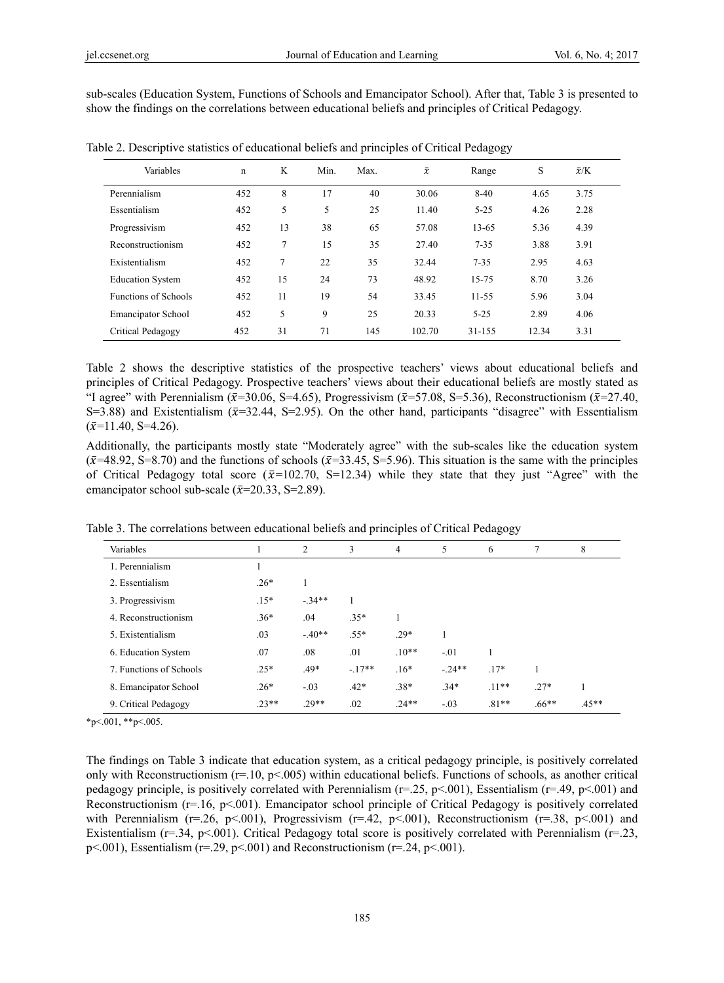sub-scales (Education System, Functions of Schools and Emancipator School). After that, Table 3 is presented to show the findings on the correlations between educational beliefs and principles of Critical Pedagogy.

| Variables                   | n   | K  | Min. | Max. | $\bar{x}$ | Range     | S     | $\bar{x}$ /K |  |
|-----------------------------|-----|----|------|------|-----------|-----------|-------|--------------|--|
| Perennialism                | 452 | 8  | 17   | 40   | 30.06     | $8-40$    | 4.65  | 3.75         |  |
| Essentialism                | 452 | 5  | 5    | 25   | 11.40     | $5 - 25$  | 4.26  | 2.28         |  |
| Progressivism               | 452 | 13 | 38   | 65   | 57.08     | 13-65     | 5.36  | 4.39         |  |
| Reconstructionism           | 452 | 7  | 15   | 35   | 27.40     | $7 - 35$  | 3.88  | 3.91         |  |
| Existentialism              | 452 | 7  | 22   | 35   | 32.44     | $7 - 35$  | 2.95  | 4.63         |  |
| <b>Education System</b>     | 452 | 15 | 24   | 73   | 48.92     | 15-75     | 8.70  | 3.26         |  |
| <b>Functions of Schools</b> | 452 | 11 | 19   | 54   | 33.45     | $11 - 55$ | 5.96  | 3.04         |  |
| <b>Emancipator School</b>   | 452 | 5  | 9    | 25   | 20.33     | $5 - 25$  | 2.89  | 4.06         |  |
| Critical Pedagogy           | 452 | 31 | 71   | 145  | 102.70    | 31-155    | 12.34 | 3.31         |  |

Table 2. Descriptive statistics of educational beliefs and principles of Critical Pedagogy

Table 2 shows the descriptive statistics of the prospective teachers' views about educational beliefs and principles of Critical Pedagogy. Prospective teachers' views about their educational beliefs are mostly stated as "I agree" with Perennialism ( $\bar{x}$ =30.06, S=4.65), Progressivism ( $\bar{x}$ =57.08, S=5.36), Reconstructionism ( $\bar{x}$ =27.40, S=3.88) and Existentialism  $(\bar{x}=32.44, S=2.95)$ . On the other hand, participants "disagree" with Essentialism  $(\bar{x}=11.40, S=4.26).$ 

Additionally, the participants mostly state "Moderately agree" with the sub-scales like the education system  $(\bar{x}=48.92, S=8.70)$  and the functions of schools ( $\bar{x}=33.45, S=5.96$ ). This situation is the same with the principles of Critical Pedagogy total score ( $\bar{x}$ =102.70, S=12.34) while they state that they just "Agree" with the emancipator school sub-scale ( $\bar{x}$ =20.33, S=2.89).

Table 3. The correlations between educational beliefs and principles of Critical Pedagogy

| Variables               |        | 2        | 3       | $\overline{4}$ | 5       | 6       |         | 8       |
|-------------------------|--------|----------|---------|----------------|---------|---------|---------|---------|
| 1. Perennialism         |        |          |         |                |         |         |         |         |
| 2. Essentialism         | $.26*$ |          |         |                |         |         |         |         |
| 3. Progressivism        | $.15*$ | $-.34**$ |         |                |         |         |         |         |
| 4. Reconstructionism    | $.36*$ | .04      | $.35*$  |                |         |         |         |         |
| 5. Existentialism       | .03    | $-40**$  | $.55*$  | $.29*$         |         |         |         |         |
| 6. Education System     | .07    | .08      | .01     | $.10**$        | $-.01$  | 1       |         |         |
| 7. Functions of Schools | $.25*$ | $.49*$   | $-17**$ | $.16*$         | $-24**$ | $.17*$  |         |         |
| 8. Emancipator School   | $.26*$ | $-.03$   | $.42*$  | $.38*$         | $.34*$  | $.11**$ | $.27*$  |         |
| 9. Critical Pedagogy    | $23**$ | $.29**$  | .02     | $.24**$        | $-.03$  | $.81**$ | $.66**$ | $.45**$ |

 $*p<.001$ ,  $*p<.005$ .

The findings on Table 3 indicate that education system, as a critical pedagogy principle, is positively correlated only with Reconstructionism ( $r=10$ ,  $p<0.005$ ) within educational beliefs. Functions of schools, as another critical pedagogy principle, is positively correlated with Perennialism ( $r=25$ ,  $p<001$ ), Essentialism ( $r=49$ ,  $p<001$ ) and Reconstructionism (r=.16, p<.001). Emancipator school principle of Critical Pedagogy is positively correlated with Perennialism ( $r=0.26$ ,  $p<0.01$ ), Progressivism ( $r=0.42$ ,  $p<0.01$ ), Reconstructionism ( $r=0.38$ ,  $p<0.01$ ) and Existentialism ( $r=0.34$ ,  $p<0.01$ ). Critical Pedagogy total score is positively correlated with Perennialism ( $r=0.23$ ,  $p<001$ , Essentialism ( $r=29$ ,  $p<001$ ) and Reconstructionism ( $r=24$ ,  $p<001$ ).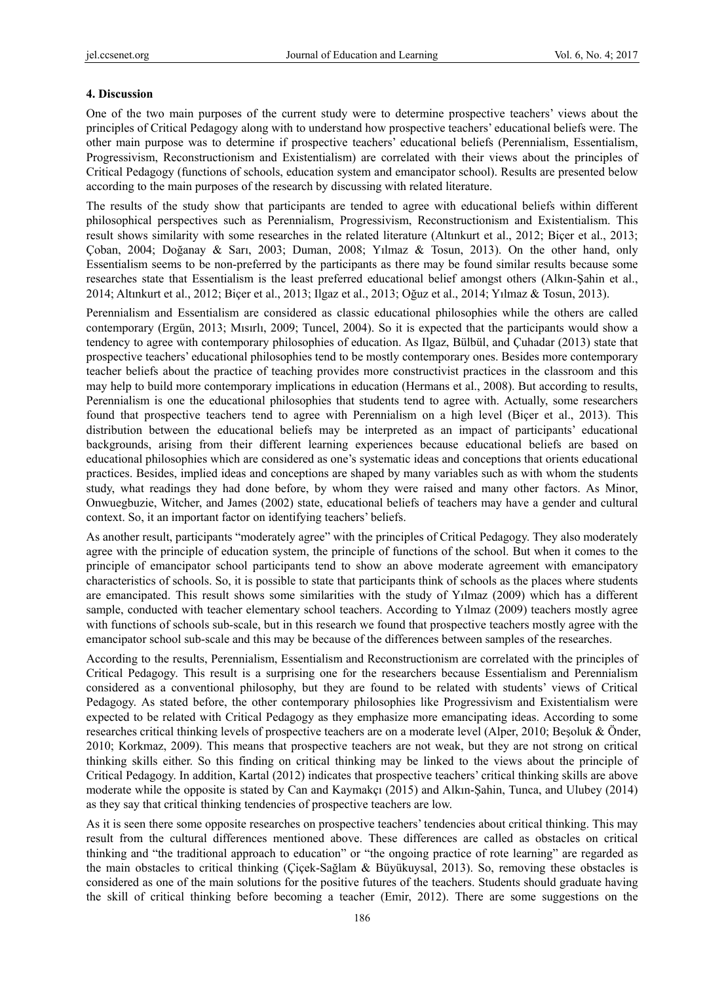#### **4. Discussion**

One of the two main purposes of the current study were to determine prospective teachers' views about the principles of Critical Pedagogy along with to understand how prospective teachers' educational beliefs were. The other main purpose was to determine if prospective teachers' educational beliefs (Perennialism, Essentialism, Progressivism, Reconstructionism and Existentialism) are correlated with their views about the principles of Critical Pedagogy (functions of schools, education system and emancipator school). Results are presented below according to the main purposes of the research by discussing with related literature.

The results of the study show that participants are tended to agree with educational beliefs within different philosophical perspectives such as Perennialism, Progressivism, Reconstructionism and Existentialism. This result shows similarity with some researches in the related literature (Altınkurt et al., 2012; Biçer et al., 2013; Çoban, 2004; Doğanay & Sarı, 2003; Duman, 2008; Yılmaz & Tosun, 2013). On the other hand, only Essentialism seems to be non-preferred by the participants as there may be found similar results because some researches state that Essentialism is the least preferred educational belief amongst others (Alkın-Şahin et al., 2014; Altınkurt et al., 2012; Biçer et al., 2013; Ilgaz et al., 2013; Oğuz et al., 2014; Yılmaz & Tosun, 2013).

Perennialism and Essentialism are considered as classic educational philosophies while the others are called contemporary (Ergün, 2013; Mısırlı, 2009; Tuncel, 2004). So it is expected that the participants would show a tendency to agree with contemporary philosophies of education. As Ilgaz, Bülbül, and Çuhadar (2013) state that prospective teachers' educational philosophies tend to be mostly contemporary ones. Besides more contemporary teacher beliefs about the practice of teaching provides more constructivist practices in the classroom and this may help to build more contemporary implications in education (Hermans et al., 2008). But according to results, Perennialism is one the educational philosophies that students tend to agree with. Actually, some researchers found that prospective teachers tend to agree with Perennialism on a high level (Biçer et al., 2013). This distribution between the educational beliefs may be interpreted as an impact of participants' educational backgrounds, arising from their different learning experiences because educational beliefs are based on educational philosophies which are considered as one's systematic ideas and conceptions that orients educational practices. Besides, implied ideas and conceptions are shaped by many variables such as with whom the students study, what readings they had done before, by whom they were raised and many other factors. As Minor, Onwuegbuzie, Witcher, and James (2002) state, educational beliefs of teachers may have a gender and cultural context. So, it an important factor on identifying teachers' beliefs.

As another result, participants "moderately agree" with the principles of Critical Pedagogy. They also moderately agree with the principle of education system, the principle of functions of the school. But when it comes to the principle of emancipator school participants tend to show an above moderate agreement with emancipatory characteristics of schools. So, it is possible to state that participants think of schools as the places where students are emancipated. This result shows some similarities with the study of Yılmaz (2009) which has a different sample, conducted with teacher elementary school teachers. According to Yılmaz (2009) teachers mostly agree with functions of schools sub-scale, but in this research we found that prospective teachers mostly agree with the emancipator school sub-scale and this may be because of the differences between samples of the researches.

According to the results, Perennialism, Essentialism and Reconstructionism are correlated with the principles of Critical Pedagogy. This result is a surprising one for the researchers because Essentialism and Perennialism considered as a conventional philosophy, but they are found to be related with students' views of Critical Pedagogy. As stated before, the other contemporary philosophies like Progressivism and Existentialism were expected to be related with Critical Pedagogy as they emphasize more emancipating ideas. According to some researches critical thinking levels of prospective teachers are on a moderate level (Alper, 2010; Beşoluk & Önder, 2010; Korkmaz, 2009). This means that prospective teachers are not weak, but they are not strong on critical thinking skills either. So this finding on critical thinking may be linked to the views about the principle of Critical Pedagogy. In addition, Kartal (2012) indicates that prospective teachers' critical thinking skills are above moderate while the opposite is stated by Can and Kaymakçı (2015) and Alkın-Şahin, Tunca, and Ulubey (2014) as they say that critical thinking tendencies of prospective teachers are low.

As it is seen there some opposite researches on prospective teachers' tendencies about critical thinking. This may result from the cultural differences mentioned above. These differences are called as obstacles on critical thinking and "the traditional approach to education" or "the ongoing practice of rote learning" are regarded as the main obstacles to critical thinking (Çiçek-Sağlam & Büyükuysal, 2013). So, removing these obstacles is considered as one of the main solutions for the positive futures of the teachers. Students should graduate having the skill of critical thinking before becoming a teacher (Emir, 2012). There are some suggestions on the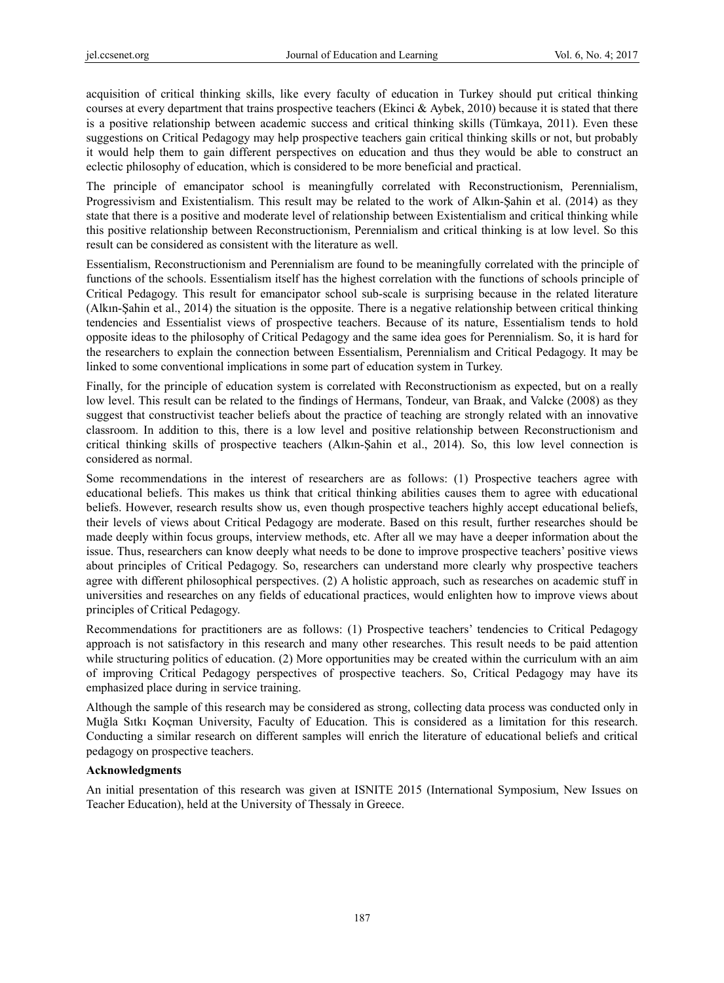acquisition of critical thinking skills, like every faculty of education in Turkey should put critical thinking courses at every department that trains prospective teachers (Ekinci & Aybek, 2010) because it is stated that there is a positive relationship between academic success and critical thinking skills (Tümkaya, 2011). Even these suggestions on Critical Pedagogy may help prospective teachers gain critical thinking skills or not, but probably it would help them to gain different perspectives on education and thus they would be able to construct an eclectic philosophy of education, which is considered to be more beneficial and practical.

The principle of emancipator school is meaningfully correlated with Reconstructionism, Perennialism, Progressivism and Existentialism. This result may be related to the work of Alkın-Şahin et al. (2014) as they state that there is a positive and moderate level of relationship between Existentialism and critical thinking while this positive relationship between Reconstructionism, Perennialism and critical thinking is at low level. So this result can be considered as consistent with the literature as well.

Essentialism, Reconstructionism and Perennialism are found to be meaningfully correlated with the principle of functions of the schools. Essentialism itself has the highest correlation with the functions of schools principle of Critical Pedagogy. This result for emancipator school sub-scale is surprising because in the related literature (Alkın-Şahin et al., 2014) the situation is the opposite. There is a negative relationship between critical thinking tendencies and Essentialist views of prospective teachers. Because of its nature, Essentialism tends to hold opposite ideas to the philosophy of Critical Pedagogy and the same idea goes for Perennialism. So, it is hard for the researchers to explain the connection between Essentialism, Perennialism and Critical Pedagogy. It may be linked to some conventional implications in some part of education system in Turkey.

Finally, for the principle of education system is correlated with Reconstructionism as expected, but on a really low level. This result can be related to the findings of Hermans, Tondeur, van Braak, and Valcke (2008) as they suggest that constructivist teacher beliefs about the practice of teaching are strongly related with an innovative classroom. In addition to this, there is a low level and positive relationship between Reconstructionism and critical thinking skills of prospective teachers (Alkın-Şahin et al., 2014). So, this low level connection is considered as normal.

Some recommendations in the interest of researchers are as follows: (1) Prospective teachers agree with educational beliefs. This makes us think that critical thinking abilities causes them to agree with educational beliefs. However, research results show us, even though prospective teachers highly accept educational beliefs, their levels of views about Critical Pedagogy are moderate. Based on this result, further researches should be made deeply within focus groups, interview methods, etc. After all we may have a deeper information about the issue. Thus, researchers can know deeply what needs to be done to improve prospective teachers' positive views about principles of Critical Pedagogy. So, researchers can understand more clearly why prospective teachers agree with different philosophical perspectives. (2) A holistic approach, such as researches on academic stuff in universities and researches on any fields of educational practices, would enlighten how to improve views about principles of Critical Pedagogy.

Recommendations for practitioners are as follows: (1) Prospective teachers' tendencies to Critical Pedagogy approach is not satisfactory in this research and many other researches. This result needs to be paid attention while structuring politics of education. (2) More opportunities may be created within the curriculum with an aim of improving Critical Pedagogy perspectives of prospective teachers. So, Critical Pedagogy may have its emphasized place during in service training.

Although the sample of this research may be considered as strong, collecting data process was conducted only in Muğla Sıtkı Koçman University, Faculty of Education. This is considered as a limitation for this research. Conducting a similar research on different samples will enrich the literature of educational beliefs and critical pedagogy on prospective teachers.

## **Acknowledgments**

An initial presentation of this research was given at ISNITE 2015 (International Symposium, New Issues on Teacher Education), held at the University of Thessaly in Greece.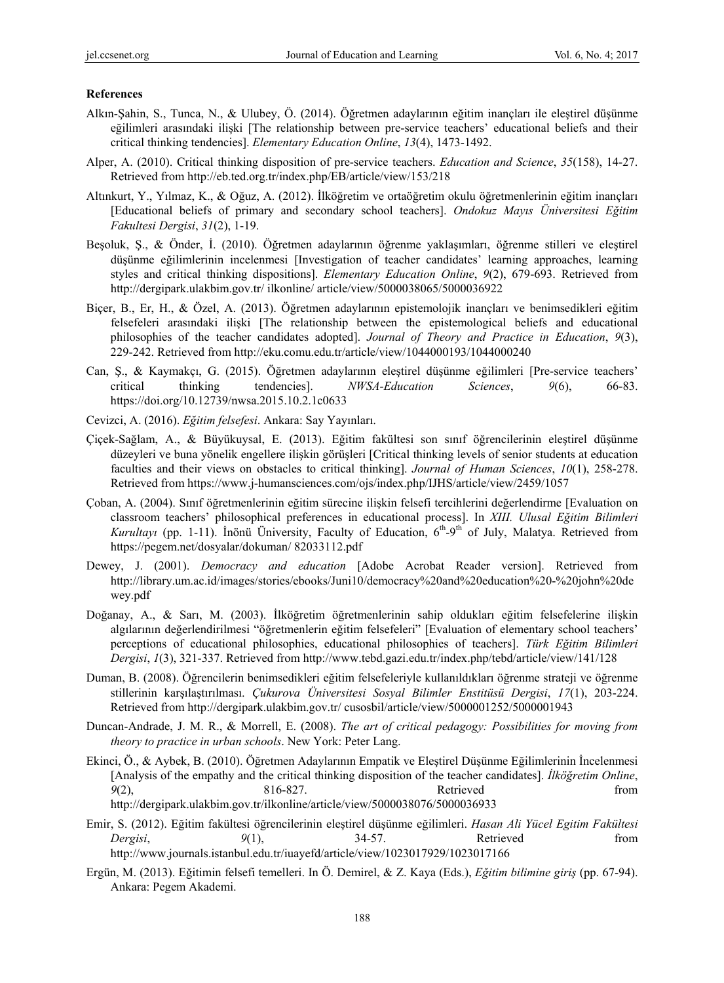#### **References**

- Alkın-Şahin, S., Tunca, N., & Ulubey, Ö. (2014). Öğretmen adaylarının eğitim inançları ile eleştirel düşünme eğilimleri arasındaki ilişki [The relationship between pre-service teachers' educational beliefs and their critical thinking tendencies]. *Elementary Education Online*, *13*(4), 1473-1492.
- Alper, A. (2010). Critical thinking disposition of pre-service teachers. *Education and Science*, *35*(158), 14-27. Retrieved from http://eb.ted.org.tr/index.php/EB/article/view/153/218
- Altınkurt, Y., Yılmaz, K., & Oğuz, A. (2012). İlköğretim ve ortaöğretim okulu öğretmenlerinin eğitim inançları [Educational beliefs of primary and secondary school teachers]. *Ondokuz Mayıs Üniversitesi Eğitim Fakultesi Dergisi*, *31*(2), 1-19.
- Beşoluk, Ş., & Önder, İ. (2010). Öğretmen adaylarının öğrenme yaklaşımları, öğrenme stilleri ve eleştirel düşünme eğilimlerinin incelenmesi [Investigation of teacher candidates' learning approaches, learning styles and critical thinking dispositions]. *Elementary Education Online*, *9*(2), 679-693. Retrieved from http://dergipark.ulakbim.gov.tr/ ilkonline/ article/view/5000038065/5000036922
- Biçer, B., Er, H., & Özel, A. (2013). Öğretmen adaylarının epistemolojik inançları ve benimsedikleri eğitim felsefeleri arasındaki ilişki [The relationship between the epistemological beliefs and educational philosophies of the teacher candidates adopted]. *Journal of Theory and Practice in Education*, *9*(3), 229-242. Retrieved from http://eku.comu.edu.tr/article/view/1044000193/1044000240
- Can, Ş., & Kaymakçı, G. (2015). Öğretmen adaylarının eleştirel düşünme eğilimleri [Pre-service teachers' critical thinking tendencies]. *NWSA-Education Sciences*, *9*(6), 66-83. https://doi.org/10.12739/nwsa.2015.10.2.1c0633
- Cevizci, A. (2016). *Eğitim felsefesi*. Ankara: Say Yayınları.
- Çiçek-Sağlam, A., & Büyükuysal, E. (2013). Eğitim fakültesi son sınıf öğrencilerinin eleştirel düşünme düzeyleri ve buna yönelik engellere ilişkin görüşleri [Critical thinking levels of senior students at education faculties and their views on obstacles to critical thinking]. *Journal of Human Sciences*, *10*(1), 258-278. Retrieved from https://www.j-humansciences.com/ojs/index.php/IJHS/article/view/2459/1057
- Çoban, A. (2004). Sınıf öğretmenlerinin eğitim sürecine ilişkin felsefi tercihlerini değerlendirme [Evaluation on classroom teachers' philosophical preferences in educational process]. In *XIII. Ulusal Eğitim Bilimleri Kurultayı* (pp. 1-11). İnönü Üniversity, Faculty of Education, 6<sup>th</sup>-9<sup>th</sup> of July, Malatya. Retrieved from https://pegem.net/dosyalar/dokuman/ 82033112.pdf
- Dewey, J. (2001). *Democracy and education* [Adobe Acrobat Reader version]. Retrieved from http://library.um.ac.id/images/stories/ebooks/Juni10/democracy%20and%20education%20-%20john%20de wey.pdf
- Doğanay, A., & Sarı, M. (2003). İlköğretim öğretmenlerinin sahip oldukları eğitim felsefelerine ilişkin algılarının değerlendirilmesi "öğretmenlerin eğitim felsefeleri" [Evaluation of elementary school teachers' perceptions of educational philosophies, educational philosophies of teachers]. *Türk Eğitim Bilimleri Dergisi*, *1*(3), 321-337. Retrieved from http://www.tebd.gazi.edu.tr/index.php/tebd/article/view/141/128
- Duman, B. (2008). Öğrencilerin benimsedikleri eğitim felsefeleriyle kullanıldıkları öğrenme strateji ve öğrenme stillerinin karşılaştırılması. *Çukurova Üniversitesi Sosyal Bilimler Enstitüsü Dergisi*, *17*(1), 203-224. Retrieved from http://dergipark.ulakbim.gov.tr/ cusosbil/article/view/5000001252/5000001943
- Duncan-Andrade, J. M. R., & Morrell, E. (2008). *The art of critical pedagogy: Possibilities for moving from theory to practice in urban schools*. New York: Peter Lang.
- Ekinci, Ö., & Aybek, B. (2010). Öğretmen Adaylarının Empatik ve Eleştirel Düşünme Eğilimlerinin İncelenmesi [Analysis of the empathy and the critical thinking disposition of the teacher candidates]. *İlköğretim Online*, *9*(2), 816-827. Retrieved from http://dergipark.ulakbim.gov.tr/ilkonline/article/view/5000038076/5000036933
- Emir, S. (2012). Eğitim fakültesi öğrencilerinin eleştirel düşünme eğilimleri. *Hasan Ali Yücel Egitim Fakültesi Dergisi*,  $9(1)$ ,  $34-57$ . Retrieved from http://www.journals.istanbul.edu.tr/iuayefd/article/view/1023017929/1023017166
- Ergün, M. (2013). Eğitimin felsefi temelleri. In Ö. Demirel, & Z. Kaya (Eds.), *Eğitim bilimine giriş* (pp. 67-94). Ankara: Pegem Akademi.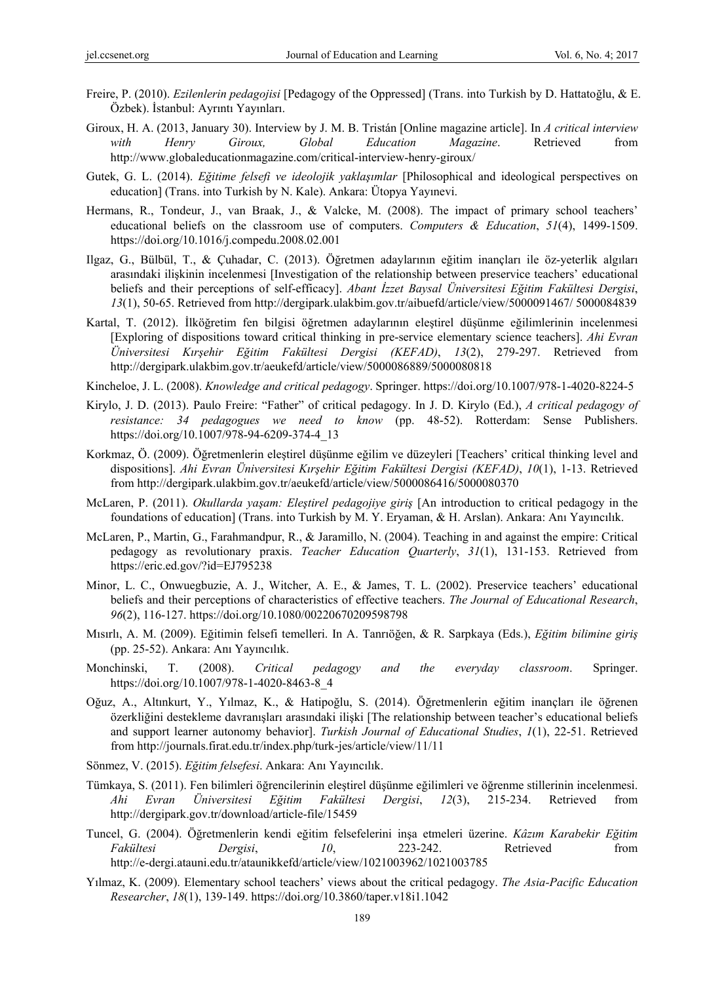- Freire, P. (2010). *Ezilenlerin pedagojisi* [Pedagogy of the Oppressed] (Trans. into Turkish by D. Hattatoğlu, & E. Özbek). İstanbul: Ayrıntı Yayınları.
- Giroux, H. A. (2013, January 30). Interview by J. M. B. Tristán [Online magazine article]. In *A critical interview with Henry Giroux, Global Education Magazine*. Retrieved from http://www.globaleducationmagazine.com/critical-interview-henry-giroux/
- Gutek, G. L. (2014). *Eğitime felsefi ve ideolojik yaklaşımlar* [Philosophical and ideological perspectives on education] (Trans. into Turkish by N. Kale). Ankara: Ütopya Yayınevi.
- Hermans, R., Tondeur, J., van Braak, J., & Valcke, M. (2008). The impact of primary school teachers' educational beliefs on the classroom use of computers. *Computers & Education*, *51*(4), 1499-1509. https://doi.org/10.1016/j.compedu.2008.02.001
- Ilgaz, G., Bülbül, T., & Çuhadar, C. (2013). Öğretmen adaylarının eğitim inançları ile öz-yeterlik algıları arasındaki ilişkinin incelenmesi [Investigation of the relationship between preservice teachers' educational beliefs and their perceptions of self-efficacy]. *Abant İzzet Baysal Üniversitesi Eğitim Fakültesi Dergisi*, *13*(1), 50-65. Retrieved from http://dergipark.ulakbim.gov.tr/aibuefd/article/view/5000091467/ 5000084839
- Kartal, T. (2012). İlköğretim fen bilgisi öğretmen adaylarının eleştirel düşünme eğilimlerinin incelenmesi [Exploring of dispositions toward critical thinking in pre-service elementary science teachers]. *Ahi Evran Üniversitesi Kırşehir Eğitim Fakültesi Dergisi (KEFAD)*, *13*(2), 279-297. Retrieved from http://dergipark.ulakbim.gov.tr/aeukefd/article/view/5000086889/5000080818
- Kincheloe, J. L. (2008). *Knowledge and critical pedagogy*. Springer. https://doi.org/10.1007/978-1-4020-8224-5
- Kirylo, J. D. (2013). Paulo Freire: "Father" of critical pedagogy. In J. D. Kirylo (Ed.), *A critical pedagogy of resistance: 34 pedagogues we need to know* (pp. 48-52). Rotterdam: Sense Publishers. https://doi.org/10.1007/978-94-6209-374-4\_13
- Korkmaz, Ö. (2009). Öğretmenlerin eleştirel düşünme eğilim ve düzeyleri [Teachers' critical thinking level and dispositions]. *Ahi Evran Üniversitesi Kırşehir Eğitim Fakültesi Dergisi (KEFAD)*, *10*(1), 1-13. Retrieved from http://dergipark.ulakbim.gov.tr/aeukefd/article/view/5000086416/5000080370
- McLaren, P. (2011). *Okullarda yaşam: Eleştirel pedagojiye giriş* [An introduction to critical pedagogy in the foundations of education] (Trans. into Turkish by M. Y. Eryaman, & H. Arslan). Ankara: Anı Yayıncılık.
- McLaren, P., Martin, G., Farahmandpur, R., & Jaramillo, N. (2004). Teaching in and against the empire: Critical pedagogy as revolutionary praxis. *Teacher Education Quarterly*, *31*(1), 131-153. Retrieved from https://eric.ed.gov/?id=EJ795238
- Minor, L. C., Onwuegbuzie, A. J., Witcher, A. E., & James, T. L. (2002). Preservice teachers' educational beliefs and their perceptions of characteristics of effective teachers. *The Journal of Educational Research*, *96*(2), 116-127. https://doi.org/10.1080/00220670209598798
- Mısırlı, A. M. (2009). Eğitimin felsefi temelleri. In A. Tanrıöğen, & R. Sarpkaya (Eds.), *Eğitim bilimine giriş* (pp. 25-52). Ankara: Anı Yayıncılık.
- Monchinski, T. (2008). *Critical pedagogy and the everyday classroom*. Springer. https://doi.org/10.1007/978-1-4020-8463-8\_4
- Oğuz, A., Altınkurt, Y., Yılmaz, K., & Hatipoğlu, S. (2014). Öğretmenlerin eğitim inançları ile öğrenen özerkliğini destekleme davranışları arasındaki ilişki [The relationship between teacher's educational beliefs and support learner autonomy behavior]. *Turkish Journal of Educational Studies*, *1*(1), 22-51. Retrieved from http://journals.firat.edu.tr/index.php/turk-jes/article/view/11/11
- Sönmez, V. (2015). *Eğitim felsefesi*. Ankara: Anı Yayıncılık.
- Tümkaya, S. (2011). Fen bilimleri öğrencilerinin eleştirel düşünme eğilimleri ve öğrenme stillerinin incelenmesi. *Ahi Evran Üniversitesi Eğitim Fakültesi Dergisi*, *12*(3), 215-234. Retrieved from http://dergipark.gov.tr/download/article-file/15459
- Tuncel, G. (2004). Öğretmenlerin kendi eğitim felsefelerini inşa etmeleri üzerine. *Kâzım Karabekir Eğitim Fakültesi Dergisi*, *10*, 223-242. Retrieved from http://e-dergi.atauni.edu.tr/ataunikkefd/article/view/1021003962/1021003785
- Yılmaz, K. (2009). Elementary school teachers' views about the critical pedagogy. *The Asia-Pacific Education Researcher*, *18*(1), 139-149. https://doi.org/10.3860/taper.v18i1.1042